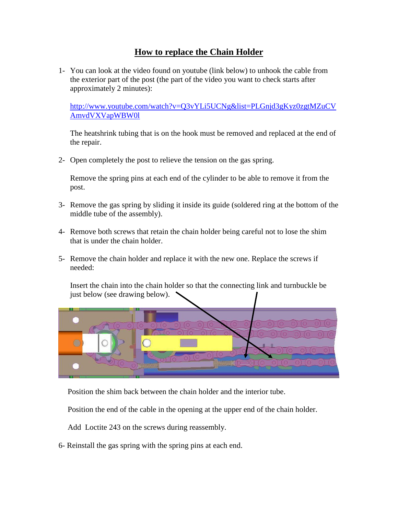## **How to replace the Chain Holder**

1- You can look at the video found on youtube (link below) to unhook the cable from the exterior part of the post (the part of the video you want to check starts after approximately 2 minutes):

[http://www.youtube.com/watch?v=Q3vYLi5UCNg&list=PLGnjd3gKyz0zgtMZuCV](http://www.youtube.com/watch?v=Q3vYLi5UCNg&list=PLGnjd3gKyz0zgtMZuCVAmvdVXVapWBW0l) [AmvdVXVapWBW0l](http://www.youtube.com/watch?v=Q3vYLi5UCNg&list=PLGnjd3gKyz0zgtMZuCVAmvdVXVapWBW0l)

The heatshrink tubing that is on the hook must be removed and replaced at the end of the repair.

2- Open completely the post to relieve the tension on the gas spring.

Remove the spring pins at each end of the cylinder to be able to remove it from the post.

- 3- Remove the gas spring by sliding it inside its guide (soldered ring at the bottom of the middle tube of the assembly).
- 4- Remove both screws that retain the chain holder being careful not to lose the shim that is under the chain holder.
- 5- Remove the chain holder and replace it with the new one. Replace the screws if needed:

Insert the chain into the chain holder so that the connecting link and turnbuckle be just below (see drawing below).



Position the shim back between the chain holder and the interior tube.

Position the end of the cable in the opening at the upper end of the chain holder.

Add Loctite 243 on the screws during reassembly.

6- Reinstall the gas spring with the spring pins at each end.